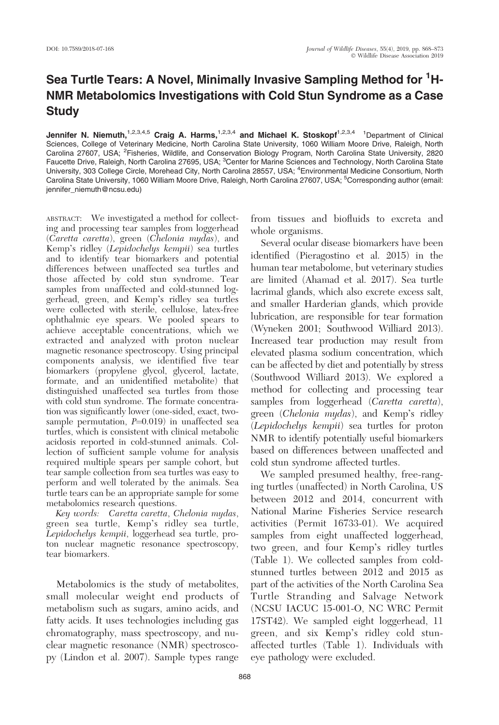## Sea Turtle Tears: A Novel, Minimally Invasive Sampling Method for <sup>1</sup>H-NMR Metabolomics Investigations with Cold Stun Syndrome as a Case Study

Jennifer N. Niemuth,<sup>1,2,3,4,5</sup> Craig A. Harms,<sup>1,2,3,4</sup> and Michael K. Stoskopf<sup>1,2,3,4</sup> <sup>1</sup>Department of Clinical Sciences, College of Veterinary Medicine, North Carolina State University, 1060 William Moore Drive, Raleigh, North Carolina 27607, USA; <sup>2</sup>Fisheries, Wildlife, and Conservation Biology Program, North Carolina State University, 2820 Faucette Drive, Raleigh, North Carolina 27695, USA; <sup>3</sup>Center for Marine Sciences and Technology, North Carolina State University, 303 College Circle, Morehead City, North Carolina 28557, USA; <sup>4</sup>Environmental Medicine Consortium, North Carolina State University, 1060 William Moore Drive, Raleigh, North Carolina 27607, USA; <sup>5</sup>Corresponding author (email: jennifer\_niemuth@ncsu.edu)

ABSTRACT: We investigated a method for collecting and processing tear samples from loggerhead (Caretta caretta), green (Chelonia mydas), and Kemp's ridley (Lepidochelys kempii) sea turtles and to identify tear biomarkers and potential differences between unaffected sea turtles and those affected by cold stun syndrome. Tear samples from unaffected and cold-stunned loggerhead, green, and Kemp's ridley sea turtles were collected with sterile, cellulose, latex-free ophthalmic eye spears. We pooled spears to achieve acceptable concentrations, which we extracted and analyzed with proton nuclear magnetic resonance spectroscopy. Using principal components analysis, we identified five tear biomarkers (propylene glycol, glycerol, lactate, formate, and an unidentified metabolite) that distinguished unaffected sea turtles from those with cold stun syndrome. The formate concentration was significantly lower (one-sided, exact, twosample permutation,  $P=0.019$ ) in unaffected sea turtles, which is consistent with clinical metabolic acidosis reported in cold-stunned animals. Collection of sufficient sample volume for analysis required multiple spears per sample cohort, but tear sample collection from sea turtles was easy to perform and well tolerated by the animals. Sea turtle tears can be an appropriate sample for some metabolomics research questions.

Key words: Caretta caretta, Chelonia mydas, green sea turtle, Kemp's ridley sea turtle, Lepidochelys kempii, loggerhead sea turtle, proton nuclear magnetic resonance spectroscopy, tear biomarkers.

Metabolomics is the study of metabolites, small molecular weight end products of metabolism such as sugars, amino acids, and fatty acids. It uses technologies including gas chromatography, mass spectroscopy, and nuclear magnetic resonance (NMR) spectroscopy (Lindon et al. 2007). Sample types range

from tissues and biofluids to excreta and whole organisms.

Several ocular disease biomarkers have been identified (Pieragostino et al. 2015) in the human tear metabolome, but veterinary studies are limited (Ahamad et al. 2017). Sea turtle lacrimal glands, which also excrete excess salt, and smaller Harderian glands, which provide lubrication, are responsible for tear formation (Wyneken 2001; Southwood Williard 2013). Increased tear production may result from elevated plasma sodium concentration, which can be affected by diet and potentially by stress (Southwood Williard 2013). We explored a method for collecting and processing tear samples from loggerhead (Caretta caretta), green (Chelonia mydas), and Kemp's ridley (Lepidochelys kempii) sea turtles for proton NMR to identify potentially useful biomarkers based on differences between unaffected and cold stun syndrome affected turtles.

We sampled presumed healthy, free-ranging turtles (unaffected) in North Carolina, US between 2012 and 2014, concurrent with National Marine Fisheries Service research activities (Permit 16733-01). We acquired samples from eight unaffected loggerhead, two green, and four Kemp's ridley turtles (Table 1). We collected samples from coldstunned turtles between 2012 and 2015 as part of the activities of the North Carolina Sea Turtle Stranding and Salvage Network (NCSU IACUC 15-001-O, NC WRC Permit 17ST42). We sampled eight loggerhead, 11 green, and six Kemp's ridley cold stunaffected turtles (Table 1). Individuals with eye pathology were excluded.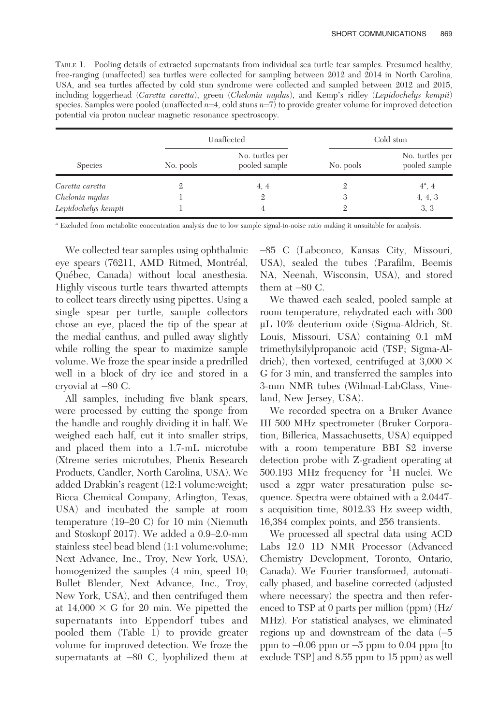TABLE 1. Pooling details of extracted supernatants from individual sea turtle tear samples. Presumed healthy, free-ranging (unaffected) sea turtles were collected for sampling between 2012 and 2014 in North Carolina, USA, and sea turtles affected by cold stun syndrome were collected and sampled between 2012 and 2015, including loggerhead (Caretta caretta), green (Chelonia mydas), and Kemp's ridley (Lepidochelys kempii) species. Samples were pooled (unaffected  $n=4$ , cold stuns  $n=7$ ) to provide greater volume for improved detection potential via proton nuclear magnetic resonance spectroscopy.

| <b>Species</b>      | Unaffected |                                  | Cold stun |                                  |
|---------------------|------------|----------------------------------|-----------|----------------------------------|
|                     | No. pools  | No. turtles per<br>pooled sample | No. pools | No. turtles per<br>pooled sample |
| Caretta caretta     |            | 4, 4                             |           | $4^a$ , 4                        |
| Chelonia mydas      |            |                                  | 3         | 4, 4, 3                          |
| Lepidochelys kempii |            |                                  |           | 3, 3                             |

<sup>a</sup> Excluded from metabolite concentration analysis due to low sample signal-to-noise ratio making it unsuitable for analysis.

We collected tear samples using ophthalmic eye spears (76211, AMD Ritmed, Montréal, Québec, Canada) without local anesthesia. Highly viscous turtle tears thwarted attempts to collect tears directly using pipettes. Using a single spear per turtle, sample collectors chose an eye, placed the tip of the spear at the medial canthus, and pulled away slightly while rolling the spear to maximize sample volume. We froze the spear inside a predrilled well in a block of dry ice and stored in a cryovial at -80 C.

All samples, including five blank spears, were processed by cutting the sponge from the handle and roughly dividing it in half. We weighed each half, cut it into smaller strips, and placed them into a 1.7-mL microtube (Xtreme series microtubes, Phenix Research Products, Candler, North Carolina, USA). We added Drabkin's reagent (12:1 volume:weight; Ricca Chemical Company, Arlington, Texas, USA) and incubated the sample at room temperature (19–20 C) for 10 min (Niemuth and Stoskopf 2017). We added a 0.9–2.0-mm stainless steel bead blend (1:1 volume:volume; Next Advance, Inc., Troy, New York, USA), homogenized the samples (4 min, speed 10; Bullet Blender, Next Advance, Inc., Troy, New York, USA), and then centrifuged them at  $14,000 \times G$  for 20 min. We pipetted the supernatants into Eppendorf tubes and pooled them (Table 1) to provide greater volume for improved detection. We froze the supernatants at -80 C, lyophilized them at -85 C (Labconco, Kansas City, Missouri, USA), sealed the tubes (Parafilm, Beemis NA, Neenah, Wisconsin, USA), and stored them at  $-80$  C.

We thawed each sealed, pooled sample at room temperature, rehydrated each with 300 lL 10% deuterium oxide (Sigma-Aldrich, St. Louis, Missouri, USA) containing 0.1 mM trimethylsilylpropanoic acid (TSP; Sigma-Aldrich), then vortexed, centrifuged at  $3,000 \times$ G for 3 min, and transferred the samples into 3-mm NMR tubes (Wilmad-LabGlass, Vineland, New Jersey, USA).

We recorded spectra on a Bruker Avance III 500 MHz spectrometer (Bruker Corporation, Billerica, Massachusetts, USA) equipped with a room temperature BBI S2 inverse detection probe with Z-gradient operating at 500.193 MHz frequency for  ${}^{1}H$  nuclei. We used a zgpr water presaturation pulse sequence. Spectra were obtained with a 2.0447 s acquisition time, 8012.33 Hz sweep width, 16,384 complex points, and 256 transients.

We processed all spectral data using ACD Labs 12.0 1D NMR Processor (Advanced Chemistry Development, Toronto, Ontario, Canada). We Fourier transformed, automatically phased, and baseline corrected (adjusted where necessary) the spectra and then referenced to TSP at 0 parts per million (ppm) (Hz/ MHz). For statistical analyses, we eliminated regions up and downstream of the data (-5 ppm to -0.06 ppm or -5 ppm to 0.04 ppm [to exclude TSP] and 8.55 ppm to 15 ppm) as well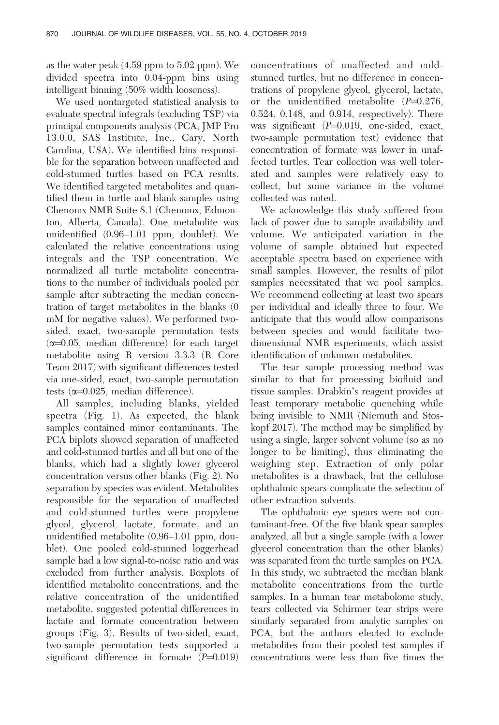as the water peak (4.59 ppm to 5.02 ppm). We divided spectra into 0.04-ppm bins using intelligent binning (50% width looseness).

We used nontargeted statistical analysis to evaluate spectral integrals (excluding TSP) via principal components analysis (PCA; JMP Pro 13.0.0, SAS Institute, Inc., Cary, North Carolina, USA). We identified bins responsible for the separation between unaffected and cold-stunned turtles based on PCA results. We identified targeted metabolites and quantified them in turtle and blank samples using Chenomx NMR Suite 8.1 (Chenomx, Edmonton, Alberta, Canada). One metabolite was unidentified (0.96–1.01 ppm, doublet). We calculated the relative concentrations using integrals and the TSP concentration. We normalized all turtle metabolite concentrations to the number of individuals pooled per sample after subtracting the median concentration of target metabolites in the blanks (0 mM for negative values). We performed twosided, exact, two-sample permutation tests  $(\alpha=0.05, \text{ median difference})$  for each target metabolite using R version 3.3.3 (R Core Team 2017) with significant differences tested via one-sided, exact, two-sample permutation tests  $(\alpha=0.025, \text{ median difference}).$ 

All samples, including blanks, yielded spectra (Fig. 1). As expected, the blank samples contained minor contaminants. The PCA biplots showed separation of unaffected and cold-stunned turtles and all but one of the blanks, which had a slightly lower glycerol concentration versus other blanks (Fig. 2). No separation by species was evident. Metabolites responsible for the separation of unaffected and cold-stunned turtles were propylene glycol, glycerol, lactate, formate, and an unidentified metabolite (0.96–1.01 ppm, doublet). One pooled cold-stunned loggerhead sample had a low signal-to-noise ratio and was excluded from further analysis. Boxplots of identified metabolite concentrations, and the relative concentration of the unidentified metabolite, suggested potential differences in lactate and formate concentration between groups (Fig. 3). Results of two-sided, exact, two-sample permutation tests supported a significant difference in formate  $(P=0.019)$  concentrations of unaffected and coldstunned turtles, but no difference in concentrations of propylene glycol, glycerol, lactate, or the unidentified metabolite  $(P=0.276,$ 0.524, 0.148, and 0.914, respectively). There was significant  $(P=0.019,$  one-sided, exact, two-sample permutation test) evidence that concentration of formate was lower in unaffected turtles. Tear collection was well tolerated and samples were relatively easy to collect, but some variance in the volume collected was noted.

We acknowledge this study suffered from lack of power due to sample availability and volume. We anticipated variation in the volume of sample obtained but expected acceptable spectra based on experience with small samples. However, the results of pilot samples necessitated that we pool samples. We recommend collecting at least two spears per individual and ideally three to four. We anticipate that this would allow comparisons between species and would facilitate twodimensional NMR experiments, which assist identification of unknown metabolites.

The tear sample processing method was similar to that for processing biofluid and tissue samples. Drabkin's reagent provides at least temporary metabolic quenching while being invisible to NMR (Niemuth and Stoskopf 2017). The method may be simplified by using a single, larger solvent volume (so as no longer to be limiting), thus eliminating the weighing step. Extraction of only polar metabolites is a drawback, but the cellulose ophthalmic spears complicate the selection of other extraction solvents.

The ophthalmic eye spears were not contaminant-free. Of the five blank spear samples analyzed, all but a single sample (with a lower glycerol concentration than the other blanks) was separated from the turtle samples on PCA. In this study, we subtracted the median blank metabolite concentrations from the turtle samples. In a human tear metabolome study, tears collected via Schirmer tear strips were similarly separated from analytic samples on PCA, but the authors elected to exclude metabolites from their pooled test samples if concentrations were less than five times the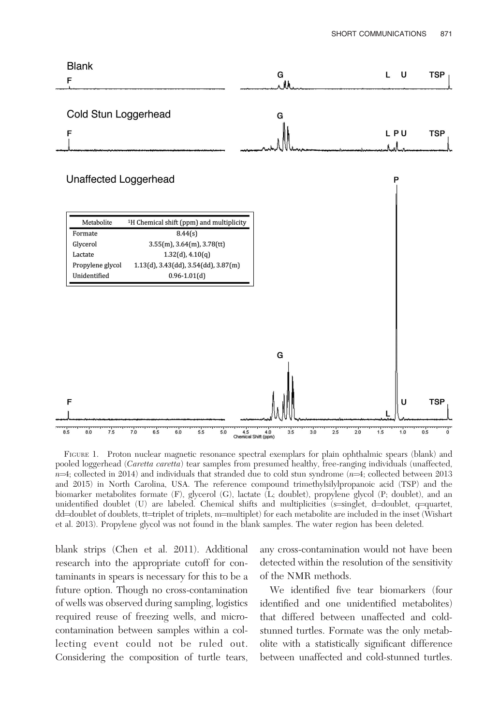

FIGURE 1. Proton nuclear magnetic resonance spectral exemplars for plain ophthalmic spears (blank) and pooled loggerhead (Caretta caretta) tear samples from presumed healthy, free-ranging individuals (unaffected,  $n=4$ ; collected in 2014) and individuals that stranded due to cold stun syndrome ( $n=4$ ; collected between 2013 and 2015) in North Carolina, USA. The reference compound trimethylsilylpropanoic acid (TSP) and the biomarker metabolites formate (F), glycerol (G), lactate (L; doublet), propylene glycol (P; doublet), and an unidentified doublet (U) are labeled. Chemical shifts and multiplicities ( $s=$ singlet, d=doublet, q=quartet, dd=doublet of doublets, tt=triplet of triplets, m=multiplet) for each metabolite are included in the inset (Wishart et al. 2013). Propylene glycol was not found in the blank samples. The water region has been deleted.

blank strips (Chen et al. 2011). Additional research into the appropriate cutoff for contaminants in spears is necessary for this to be a future option. Though no cross-contamination of wells was observed during sampling, logistics required reuse of freezing wells, and microcontamination between samples within a collecting event could not be ruled out. Considering the composition of turtle tears, any cross-contamination would not have been detected within the resolution of the sensitivity of the NMR methods.

We identified five tear biomarkers (four identified and one unidentified metabolites) that differed between unaffected and coldstunned turtles. Formate was the only metabolite with a statistically significant difference between unaffected and cold-stunned turtles.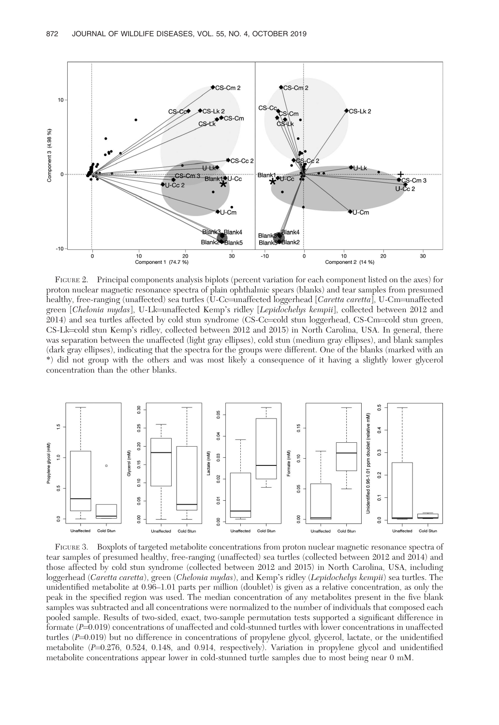

FIGURE 2. Principal components analysis biplots (percent variation for each component listed on the axes) for proton nuclear magnetic resonance spectra of plain ophthalmic spears (blanks) and tear samples from presumed healthy, free-ranging (unaffected) sea turtles (U-Cc=unaffected loggerhead [Caretta caretta], U-Cm=unaffected green [Chelonia mydas], U-Lk=unaffected Kemp's ridley [Lepidochelys kempii], collected between 2012 and  $2014$ ) and sea turtles affected by cold stun syndrome (CS-Cc=cold stun loggerhead, CS-Cm=cold stun green, CS-Lk=cold stun Kemp's ridley, collected between 2012 and 2015) in North Carolina, USA. In general, there was separation between the unaffected (light gray ellipses), cold stun (medium gray ellipses), and blank samples (dark gray ellipses), indicating that the spectra for the groups were different. One of the blanks (marked with an \*) did not group with the others and was most likely a consequence of it having a slightly lower glycerol concentration than the other blanks.



FIGURE 3. Boxplots of targeted metabolite concentrations from proton nuclear magnetic resonance spectra of tear samples of presumed healthy, free-ranging (unaffected) sea turtles (collected between 2012 and 2014) and those affected by cold stun syndrome (collected between 2012 and 2015) in North Carolina, USA, including loggerhead (Caretta caretta), green (Chelonia mydas), and Kemp's ridley (Lepidochelys kempii) sea turtles. The unidentified metabolite at 0.96–1.01 parts per million (doublet) is given as a relative concentration, as only the peak in the specified region was used. The median concentration of any metabolites present in the five blank samples was subtracted and all concentrations were normalized to the number of individuals that composed each pooled sample. Results of two-sided, exact, two-sample permutation tests supported a significant difference in formate (P=0.019) concentrations of unaffected and cold-stunned turtles with lower concentrations in unaffected turtles  $(P=0.019)$  but no difference in concentrations of propylene glycol, glycerol, lactate, or the unidentified metabolite (P=0.276, 0.524, 0.148, and 0.914, respectively). Variation in propylene glycol and unidentified metabolite concentrations appear lower in cold-stunned turtle samples due to most being near 0 mM.